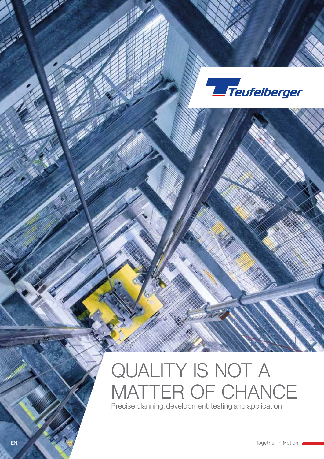

## QUALITY IS NOT A MATTER OF CHANCE Precise planning, development, testing and application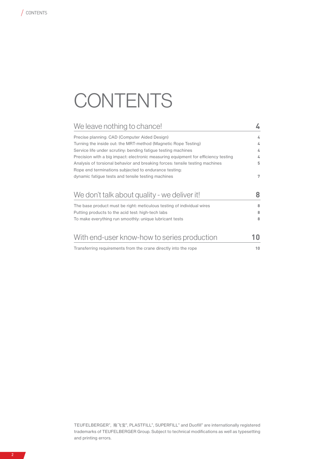# **CONTENTS**

| We leave nothing to chance!                                                                                                           |    |
|---------------------------------------------------------------------------------------------------------------------------------------|----|
| Precise planning: CAD (Computer Aided Design)                                                                                         | 4  |
| Turning the inside out: the MRT-method (Magnetic Rope Testing)                                                                        | 4  |
| Service life under scrutiny: bending fatigue testing machines                                                                         | 4  |
| Precision with a big impact: electronic measuring equipment for efficiency testing                                                    | 4  |
| Analysis of torsional behavior and breaking forces: tensile testing machines<br>Rope end terminations subjected to endurance testing. | 5  |
| dynamic fatigue tests and tensile testing machines                                                                                    | 7  |
| We don't talk about quality - we deliver it!                                                                                          | 8  |
| The base product must be right: meticulous testing of individual wires                                                                | 8  |
| Putting products to the acid test: high-tech labs                                                                                     | 8  |
| To make everything run smoothly: unique lubricant tests                                                                               | 8  |
| With end-user know-how to series production                                                                                           | 10 |
| Transferring requirements from the crane directly into the rope                                                                       | 10 |

7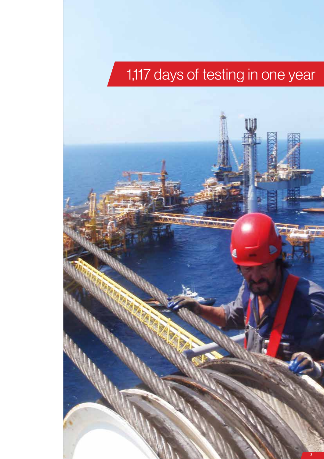# 1,117 days of testing in one year

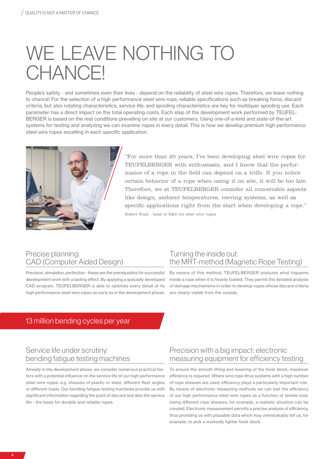## WE LEAVE NOTHING TO CHANCE!

People's safety - and sometimes even their lives - depend on the reliability of steel wire ropes. Therefore, we leave nothing to chance! For the selection of a high performance steel wire rope, reliable specifications such as breaking force, discard criteria, but also rotating characteristics, service life, and spooling characteristics are key for multilayer spooling use. Each parameter has a direct impact on the total operating costs. Each step of the development work performed by TEUFEL-BERGER is based on the real conditions prevailing on site at our customers. Using one-of-a-kind and state-of-the-art systems for testing and analyzing we can examine ropes in every detail. This is how we develop premium high performance steel wire ropes excelling in each specific application.



"For more than 20 years, I've been developing steel wire ropes for TEUFELBERGER with enthusiasm, and I know that the performance of a rope in the field can depend on a trifle. If you notice certain behavior of a rope when using it on site, it will be too late. Therefore, we at TEUFELBERGER consider all conceivable aspects like design, ambient temperatures, reeving systems, as well as specific applications right from the start when developing a rope." Robert Traxl - head of R&D for steel wire ropes

#### Precise planning: CAD (Computer Aided Design)

Precision, simulation, perfection - these are the prerequisites for successful development work with a lasting effect. By applying a specially developed CAD program, TEUFELBERGER is able to optimize every detail of its high performance steel wire ropes as early as in the development phase.

### Turning the inside out: the MRT-method (Magnetic Rope Testing)

By means of this method, TEUFELBERGER analyzes what happens inside a rope when it is heavily loaded. They permit the detailed analysis of damage mechanisms in order to develop ropes whose discard criteria are clearly visible from the outside.

### 13 million bending cycles per year

### Service life under scrutiny: bending fatigue testing machines

Already in the development phase, we consider numerous practical factors with a potential influence on the service life of our high performance steel wire ropes: e.g. sheaves of plastic or steel, different fleet angles or different loads. Our bending fatigue testing machines provide us with significant information regarding the point of discard and also the service life - the basis for durable and reliable ropes.

### Precision with a big impact: electronic measuring equipment for efficiency testing

To ensure the smooth lifting and lowering of the hook block, maximum efficiency is required. Where wire rope drive systems with a high number of rope sheaves are used, efficiency plays a particularly important role. By means of electronic measuring methods we can test the efficiency of our high performance steel wire ropes as a function of tensile load. Using different rope sheaves, for example, a realistic situation can be created. Electronic measurement permits a precise analysis of efficiency, thus providing us with plausible data which may unmistakably tell us, for example, to pick a markedly lighter hook block.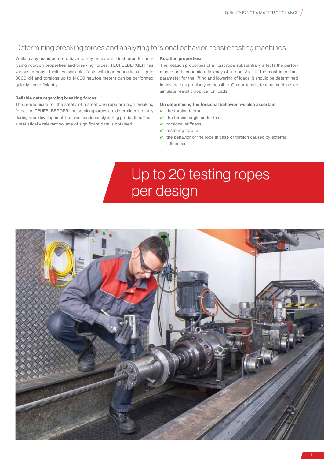### Determining breaking forces and analyzing torsional behavior: tensile testing machines

While many manufacturers have to rely on external institutes for analyzing rotation properties and breaking forces, TEUFELBERGER has various in-house facilities available. Tests with load capacities of up to 3000 kN and torsions up to 14000 newton meters can be performed quickly and efficiently.

#### Reliable data regarding breaking forces:

The prerequisite for the safety of a steel wire rope are high breaking forces. At TEUFELBERGER, the breaking forces are determined not only during rope development, but also continuously during production. Thus, a statistically relevant volume of significant data is obtained.

#### Rotation proporties:

The rotation proporties of a hoist rope substantially affects the performance and economic efficiency of a rope. As it is the most important parameter for the lifting and lowering of loads, it should be determined in advance as precisely as possible. On our tensile testing machine we simulate realistic application loads.

#### On determining the torsional behavior, we also ascertain

- $\vee$  the torsion factor
- $\vee$  the torsion angle under load
- $\vee$  torsional stiffness
- $\triangleright$  restoring torque
- $\vee$  the behavior of the rope in case of torsion caused by external influences

### Up to 20 testing ropes per design

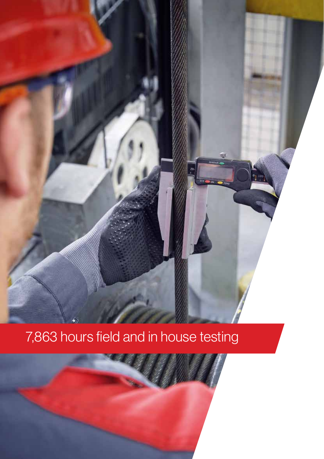## 7,863 hours field and in house testing

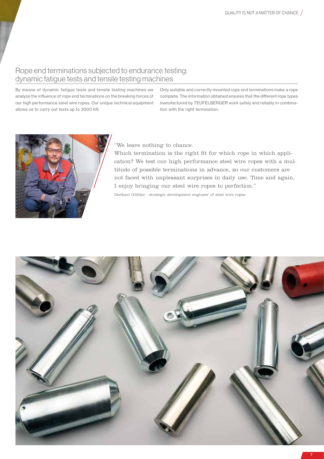### Rope end terminations subjected to endurance testing: dynamic fatigue tests and tensile testing machines

By means of dynamic fatigue tests and tensile testing machines we analyze the influence of rope end terminations on the breaking forces of our high performance steel wire ropes. Our unique technical equipment allows us to carry out tests up to 3000 kN.

Only suitable and correctly mounted rope end terminations make a rope complete. The information obtained ensures that the different rope types manufactured by TEUFELBERGER work safely and reliably in combination with the right termination.



"We leave nothing to chance.

Which termination is the right fit for which rope in which application? We test our high performance steel wire ropes with a multitude of possible terminations in advance, so our customers are not faced with unpleasant surprises in daily use. Time and again, I enjoy bringing our steel wire ropes to perfection." Diethart Güttler - strategic development engineer of steel wire ropes

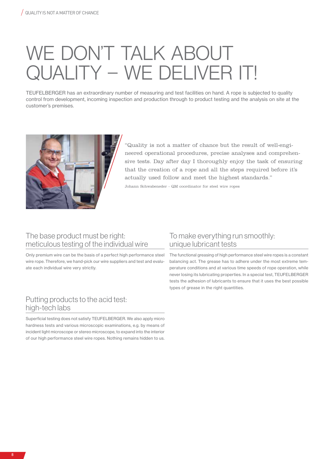# WE DON'T TALK ABOUT QUALITY – WE DELIVER IT!

TEUFELBERGER has an extraordinary number of measuring and test facilities on hand. A rope is subjected to quality control from development, incoming inspection and production through to product testing and the analysis on site at the customer's premises.



"Quality is not a matter of chance but the result of well-engineered operational procedures, precise analyses and comprehensive tests. Day after day I thoroughly enjoy the task of ensuring that the creation of a rope and all the steps required before it's actually used follow and meet the highest standards."

Johann Schwabeneder - QM coordinator for steel wire ropes

### The base product must be right: meticulous testing of the individual wire

Only premium wire can be the basis of a perfect high performance steel wire rope. Therefore, we hand-pick our wire suppliers and test and evaluate each individual wire very strictly.

### To make everything run smoothly: unique lubricant tests

The functional greasing of high performance steel wire ropes is a constant balancing act. The grease has to adhere under the most extreme temperature conditions and at various time speeds of rope operation, while never losing its lubricating properties. In a special test, TEUFELBERGER tests the adhesion of lubricants to ensure that it uses the best possible types of grease in the right quantities.

### Putting products to the acid test: high-tech labs

Superficial testing does not satisfy TEUFELBERGER. We also apply micro hardness tests and various microscopic examinations, e.g. by means of incident light microscope or stereo microscope, to expand into the interior of our high performance steel wire ropes. Nothing remains hidden to us.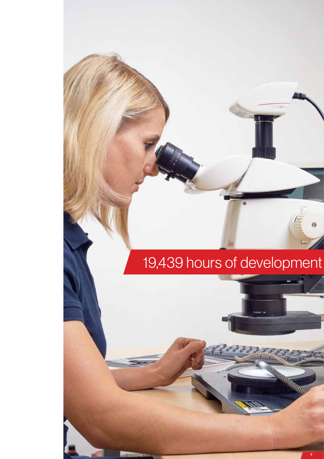## 19,439 hours of development

 $\mathcal{P}(\mathcal{S})$ 

 $\ddot{\theta}$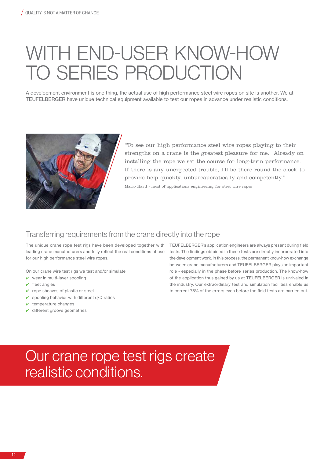# WITH END-USER KNOW-HOW TO SERIES PRODUCTION

A development environment is one thing, the actual use of high performance steel wire ropes on site is another. We at TEUFELBERGER have unique technical equipment available to test our ropes in advance under realistic conditions.



"To see our high performance steel wire ropes playing to their strengths on a crane is the greatest pleasure for me. Already on installing the rope we set the course for long-term performance. If there is any unexpected trouble, I'll be there round the clock to provide help quickly, unbureaucratically and competently." Mario Hartl - head of applications engineering for steel wire ropes

### Transferring requirements from the crane directly into the rope

The unique crane rope test rigs have been developed together with leading crane manufacturers and fully reflect the real conditions of use for our high performance steel wire ropes.

On our crane wire test rigs we test and/or simulate

- $\vee$  wear in multi-layer spooling
- $\vee$  fleet angles
- $\vee$  rope sheaves of plastic or steel
- $\checkmark$  spooling behavior with different d/D ratios
- $\vee$  temperature changes
- $\overline{\mathsf{v}}$  different groove geometries

TEUFELBERGER's application engineers are always present during field tests. The findings obtained in these tests are directly incorporated into the development work. In this process, the permanent know-how exchange between crane manufacturers and TEUFELBERGER plays an important role - especially in the phase before series production. The know-how of the application thus gained by us at TEUFELBERGER is unrivaled in the industry. Our extraordinary test and simulation facilities enable us to correct 75% of the errors even before the field tests are carried out.

### Our crane rope test rigs create realistic conditions.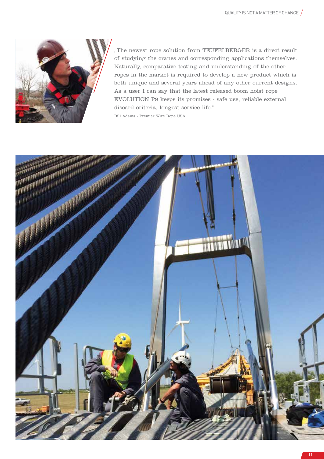

,,The newest rope solution from TEUFELBERGER is a direct result of studying the cranes and corresponding applications themselves. Naturally, comparative testing and understanding of the other ropes in the market is required to develop a new product which is both unique and several years ahead of any other current designs. As a user I can say that the latest released boom hoist rope EVOLUTION P9 keeps its promises - safe use, reliable external discard criteria, longest service life."

Bill Adams - Premier Wire Rope USA